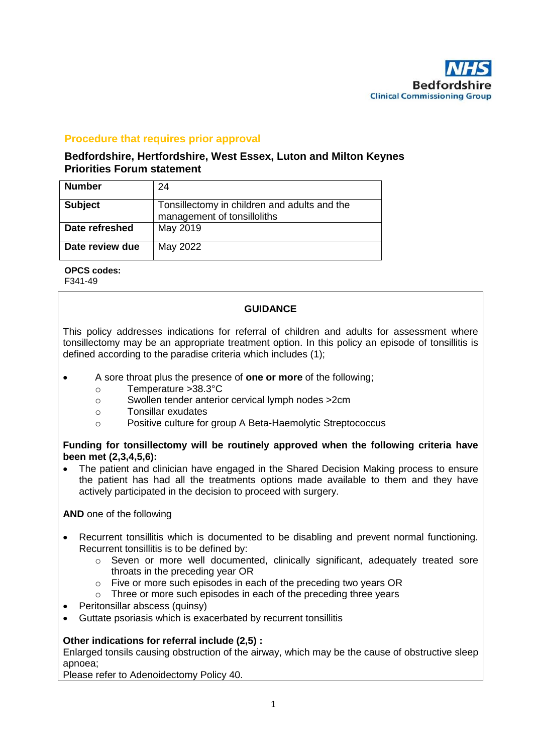

# **Procedure that requires prior approval**

## **Bedfordshire, Hertfordshire, West Essex, Luton and Milton Keynes Priorities Forum statement**

| <b>Number</b>   | 24                                                                          |
|-----------------|-----------------------------------------------------------------------------|
| <b>Subject</b>  | Tonsillectomy in children and adults and the<br>management of tonsilloliths |
| Date refreshed  | May 2019                                                                    |
| Date review due | May 2022                                                                    |

**OPCS codes:**

F341-49

## **GUIDANCE**

This policy addresses indications for referral of children and adults for assessment where tonsillectomy may be an appropriate treatment option. In this policy an episode of tonsillitis is defined according to the paradise criteria which includes (1);

- A sore throat plus the presence of **one or more** of the following;
	- o Temperature >38.3°C
	- o Swollen tender anterior cervical lymph nodes >2cm
	- o Tonsillar exudates
	- o Positive culture for group A Beta-Haemolytic Streptococcus

## **Funding for tonsillectomy will be routinely approved when the following criteria have been met (2,3,4,5,6):**

• The patient and clinician have engaged in the Shared Decision Making process to ensure the patient has had all the treatments options made available to them and they have actively participated in the decision to proceed with surgery.

**AND** one of the following

- Recurrent tonsillitis which is documented to be disabling and prevent normal functioning. Recurrent tonsillitis is to be defined by:
	- $\circ$  Seven or more well documented, clinically significant, adequately treated sore throats in the preceding year OR
	- o Five or more such episodes in each of the preceding two years OR
	- o Three or more such episodes in each of the preceding three years
- Peritonsillar abscess (quinsy)
- Guttate psoriasis which is exacerbated by recurrent tonsillitis

## **Other indications for referral include (2,5) :**

Enlarged tonsils causing obstruction of the airway, which may be the cause of obstructive sleep apnoea;

Please refer to Adenoidectomy Policy 40.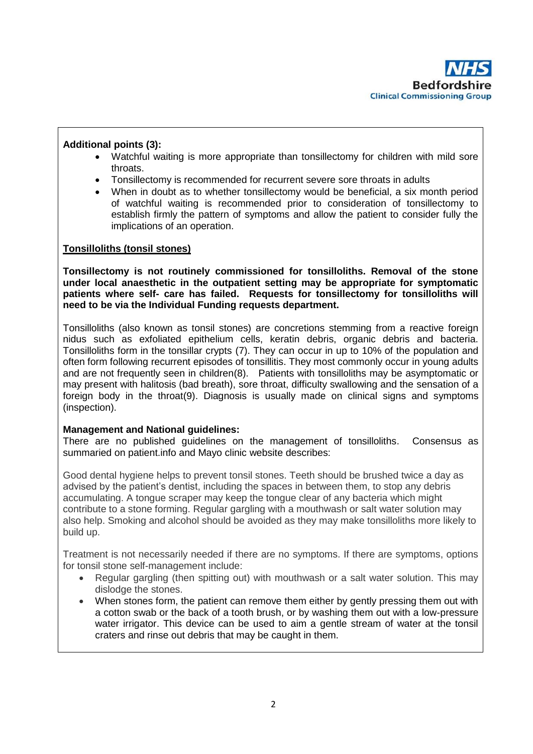

## **Additional points (3):**

- Watchful waiting is more appropriate than tonsillectomy for children with mild sore throats.
- Tonsillectomy is recommended for recurrent severe sore throats in adults
- When in doubt as to whether tonsillectomy would be beneficial, a six month period of watchful waiting is recommended prior to consideration of tonsillectomy to establish firmly the pattern of symptoms and allow the patient to consider fully the implications of an operation.

#### **Tonsilloliths (tonsil stones)**

**Tonsillectomy is not routinely commissioned for tonsilloliths. Removal of the stone under local anaesthetic in the outpatient setting may be appropriate for symptomatic patients where self- care has failed. Requests for tonsillectomy for tonsilloliths will need to be via the Individual Funding requests department.** 

Tonsilloliths (also known as tonsil stones) are concretions stemming from a reactive foreign nidus such as exfoliated epithelium cells, keratin debris, organic debris and bacteria. Tonsilloliths form in the tonsillar crypts (7). They can occur in up to 10% of the population and often form following recurrent episodes of tonsillitis. They most commonly occur in young adults and are not frequently seen in children(8). Patients with tonsilloliths may be asymptomatic or may present with halitosis (bad breath), sore throat, difficulty swallowing and the sensation of a foreign body in the throat(9). Diagnosis is usually made on clinical signs and symptoms (inspection).

#### **Management and National guidelines:**

There are no published guidelines on the management of tonsilloliths. Consensus as summaried on patient.info and Mayo clinic website describes:

Good dental hygiene helps to prevent tonsil stones. Teeth should be brushed twice a day as advised by the patient's dentist, including the spaces in between them, to stop any debris accumulating. A tongue scraper may keep the tongue clear of any bacteria which might contribute to a stone forming. Regular gargling with a mouthwash or salt water solution may also help. Smoking and alcohol should be avoided as they may make tonsilloliths more likely to build up.

Treatment is not necessarily needed if there are no symptoms. If there are symptoms, options for tonsil stone self-management include:

- Regular gargling (then spitting out) with mouthwash or a salt water solution. This may dislodge the stones.
- When stones form, the patient can remove them either by gently pressing them out with a cotton swab or the back of a tooth brush, or by washing them out with a low-pressure water irrigator. This device can be used to aim a gentle stream of water at the tonsil craters and rinse out debris that may be caught in them.